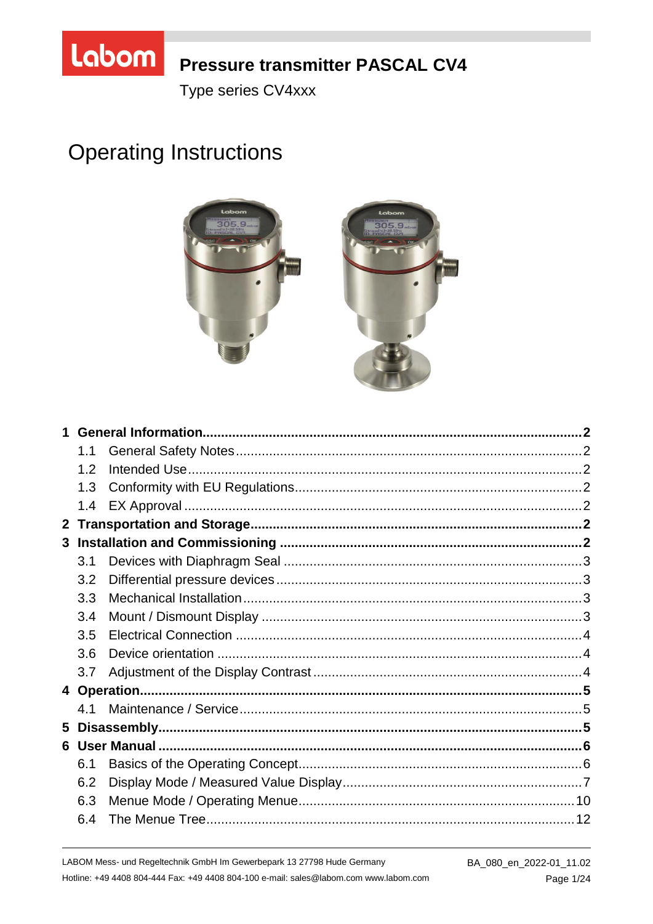

## **Pressure transmitter PASCAL CV4**

Type series CV4xxx

# **Operating Instructions**



| 1              |     |  |
|----------------|-----|--|
|                | 1.1 |  |
|                | 1.2 |  |
|                | 1.3 |  |
|                | 1.4 |  |
| 2 <sup>1</sup> |     |  |
|                |     |  |
|                | 3.1 |  |
|                | 3.2 |  |
|                | 3.3 |  |
|                | 3.4 |  |
|                | 3.5 |  |
|                | 3.6 |  |
|                | 3.7 |  |
|                |     |  |
|                | 4.1 |  |
| 5              |     |  |
|                |     |  |
|                | 6.1 |  |
|                | 6.2 |  |
|                | 6.3 |  |
|                | 6.4 |  |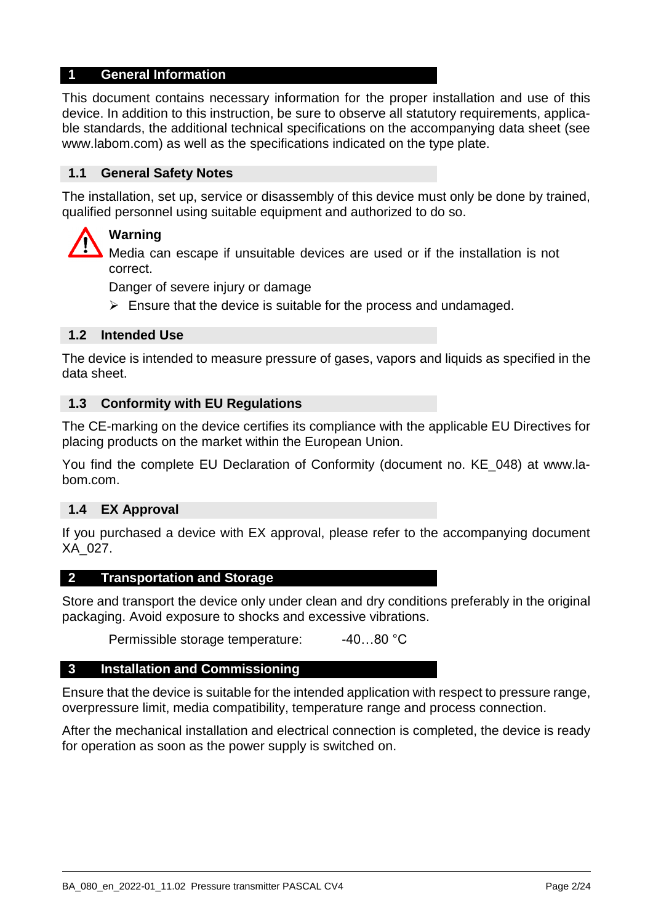#### **1 General Information**

This document contains necessary information for the proper installation and use of this device. In addition to this instruction, be sure to observe all statutory requirements, applicable standards, the additional technical specifications on the accompanying data sheet (see www.labom.com) as well as the specifications indicated on the type plate.

#### **1.1 General Safety Notes**

The installation, set up, service or disassembly of this device must only be done by trained, qualified personnel using suitable equipment and authorized to do so.

## **Warning**

Media can escape if unsuitable devices are used or if the installation is not correct.

Danger of severe injury or damage

 $\triangleright$  Ensure that the device is suitable for the process and undamaged.

#### **1.2 Intended Use**

The device is intended to measure pressure of gases, vapors and liquids as specified in the data sheet.

#### **1.3 Conformity with EU Regulations**

The CE-marking on the device certifies its compliance with the applicable EU Directives for placing products on the market within the European Union.

You find the complete EU Declaration of Conformity (document no. KE\_048) at www.labom.com.

#### **1.4 EX Approval**

If you purchased a device with EX approval, please refer to the accompanying document XA\_027.

#### **2 Transportation and Storage**

Store and transport the device only under clean and dry conditions preferably in the original packaging. Avoid exposure to shocks and excessive vibrations.

Permissible storage temperature: -40...80 °C

#### **3 Installation and Commissioning**

Ensure that the device is suitable for the intended application with respect to pressure range, overpressure limit, media compatibility, temperature range and process connection.

After the mechanical installation and electrical connection is completed, the device is ready for operation as soon as the power supply is switched on.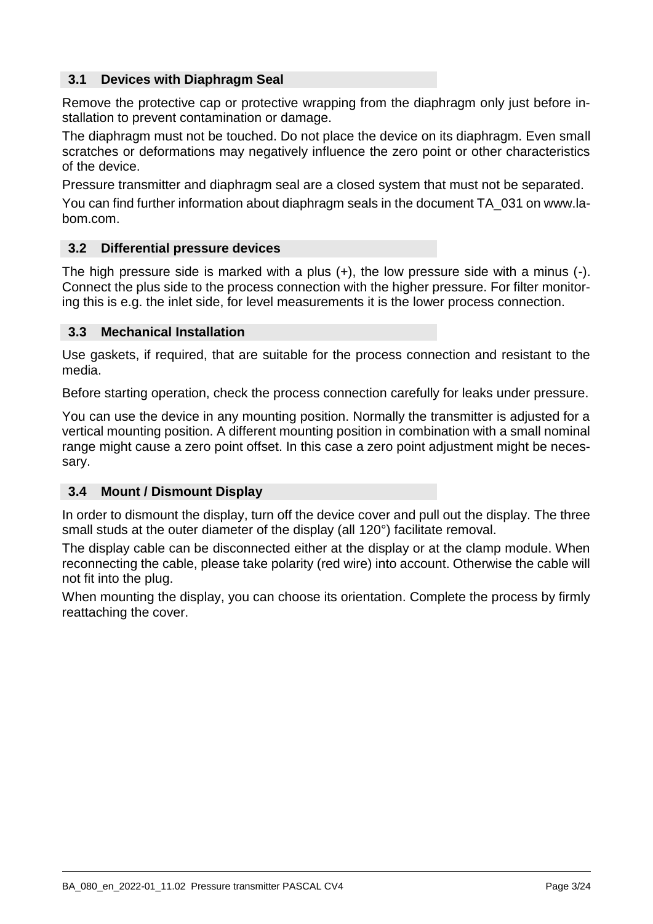## **3.1 Devices with Diaphragm Seal**

Remove the protective cap or protective wrapping from the diaphragm only just before installation to prevent contamination or damage.

The diaphragm must not be touched. Do not place the device on its diaphragm. Even small scratches or deformations may negatively influence the zero point or other characteristics of the device.

Pressure transmitter and diaphragm seal are a closed system that must not be separated.

You can find further information about diaphragm seals in the document TA\_031 on www.labom.com.

#### **3.2 Differential pressure devices**

The high pressure side is marked with a plus (+), the low pressure side with a minus (-). Connect the plus side to the process connection with the higher pressure. For filter monitoring this is e.g. the inlet side, for level measurements it is the lower process connection.

#### **3.3 Mechanical Installation**

Use gaskets, if required, that are suitable for the process connection and resistant to the media.

Before starting operation, check the process connection carefully for leaks under pressure.

You can use the device in any mounting position. Normally the transmitter is adjusted for a vertical mounting position. A different mounting position in combination with a small nominal range might cause a zero point offset. In this case a zero point adjustment might be necessary.

#### <span id="page-2-0"></span>**3.4 Mount / Dismount Display**

In order to dismount the display, turn off the device cover and pull out the display. The three small studs at the outer diameter of the display (all 120°) facilitate removal.

The display cable can be disconnected either at the display or at the clamp module. When reconnecting the cable, please take polarity (red wire) into account. Otherwise the cable will not fit into the plug.

When mounting the display, you can choose its orientation. Complete the process by firmly reattaching the cover.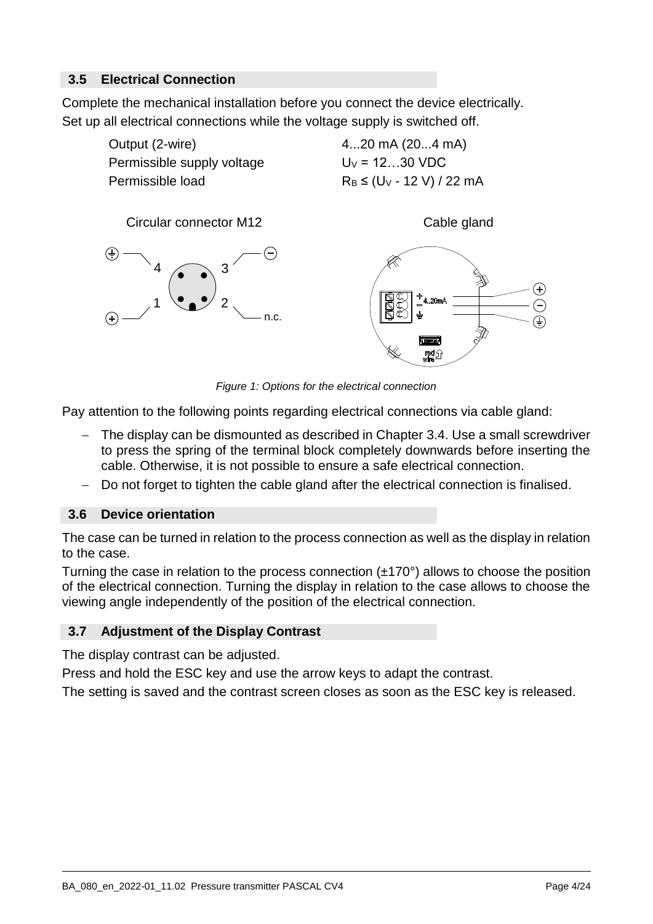## **3.5 Electrical Connection**

Complete the mechanical installation before you connect the device electrically. Set up all electrical connections while the voltage supply is switched off.



*Figure 1: Options for the electrical connection*

Pay attention to the following points regarding electrical connections via cable gland:

- The display can be dismounted as described in Chapter [3.4.](#page-2-0) Use a small screwdriver to press the spring of the terminal block completely downwards before inserting the cable. Otherwise, it is not possible to ensure a safe electrical connection.
- Do not forget to tighten the cable gland after the electrical connection is finalised.

## **3.6 Device orientation**

The case can be turned in relation to the process connection as well as the display in relation to the case.

Turning the case in relation to the process connection (±170°) allows to choose the position of the electrical connection. Turning the display in relation to the case allows to choose the viewing angle independently of the position of the electrical connection.

## **3.7 Adjustment of the Display Contrast**

The display contrast can be adjusted.

Press and hold the ESC key and use the arrow keys to adapt the contrast.

The setting is saved and the contrast screen closes as soon as the ESC key is released.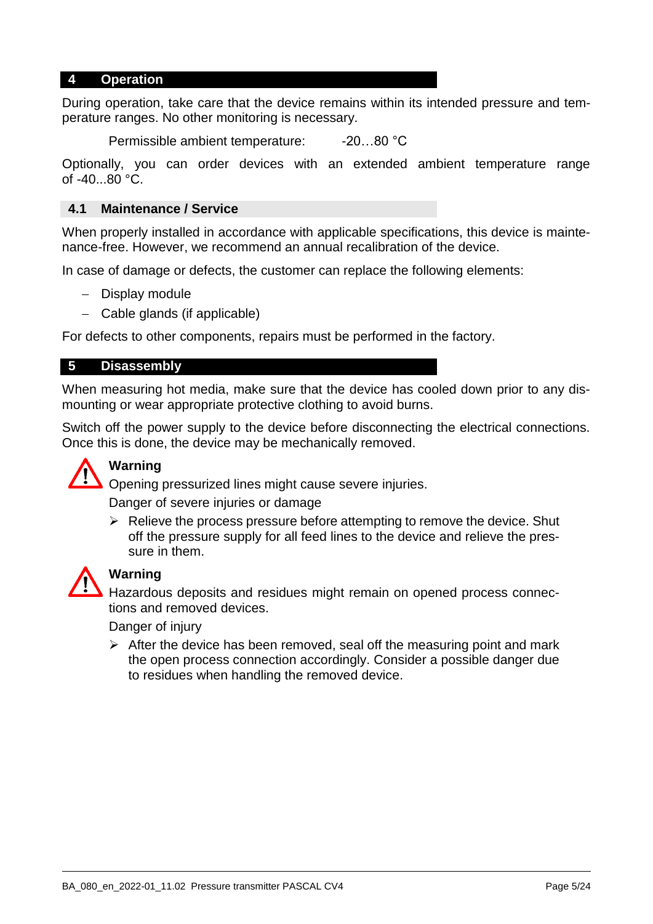#### **4 Operation**

During operation, take care that the device remains within its intended pressure and temperature ranges. No other monitoring is necessary.

Permissible ambient temperature: -20...80 °C

Optionally, you can order devices with an extended ambient temperature range of -40...80 °C.

#### **4.1 Maintenance / Service**

When properly installed in accordance with applicable specifications, this device is maintenance-free. However, we recommend an annual recalibration of the device.

In case of damage or defects, the customer can replace the following elements:

- Display module
- Cable glands (if applicable)

For defects to other components, repairs must be performed in the factory.

#### **5 Disassembly**

When measuring hot media, make sure that the device has cooled down prior to any dismounting or wear appropriate protective clothing to avoid burns.

Switch off the power supply to the device before disconnecting the electrical connections. Once this is done, the device may be mechanically removed.



## **Warning**

Opening pressurized lines might cause severe injuries.

Danger of severe injuries or damage

 $\triangleright$  Relieve the process pressure before attempting to remove the device. Shut off the pressure supply for all feed lines to the device and relieve the pressure in them.



## **Warning**

Hazardous deposits and residues might remain on opened process connections and removed devices.

Danger of injury

 $\triangleright$  After the device has been removed, seal off the measuring point and mark the open process connection accordingly. Consider a possible danger due to residues when handling the removed device.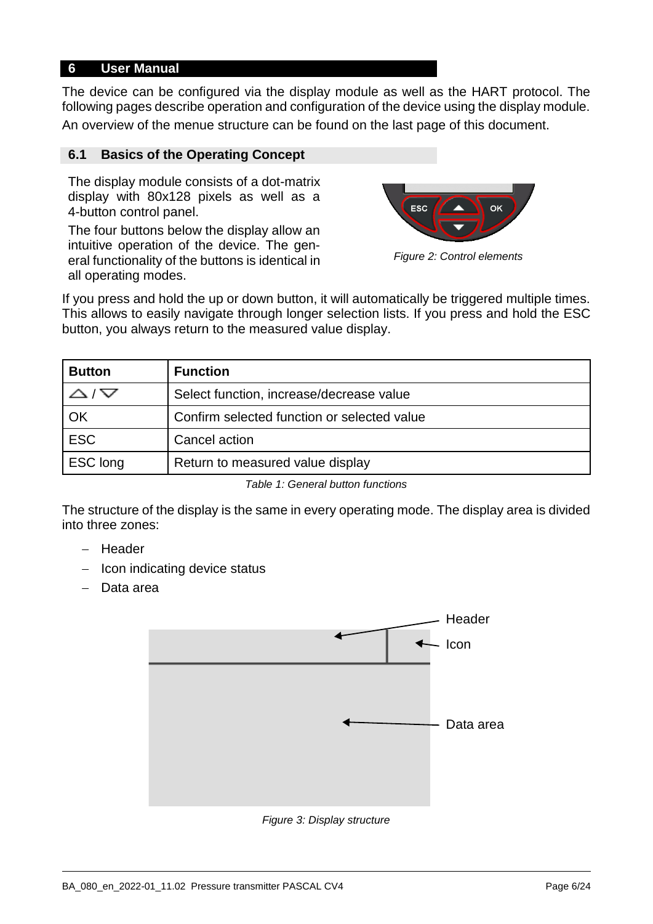#### **6 User Manual**

The device can be configured via the display module as well as the HART protocol. The following pages describe operation and configuration of the device using the display module. An overview of the menue structure can be found on the last page of this document.

#### **6.1 Basics of the Operating Concept**

The display module consists of a dot-matrix display with 80x128 pixels as well as a 4-button control panel.

The four buttons below the display allow an intuitive operation of the device. The general functionality of the buttons is identical in all operating modes.



*Figure 2: Control elements*

If you press and hold the up or down button, it will automatically be triggered multiple times. This allows to easily navigate through longer selection lists. If you press and hold the ESC button, you always return to the measured value display.

| <b>Button</b> | <b>Function</b>                             |
|---------------|---------------------------------------------|
| $\checkmark$  | Select function, increase/decrease value    |
| OK            | Confirm selected function or selected value |
| <b>ESC</b>    | Cancel action                               |
| ESC long      | Return to measured value display            |

*Table 1: General button functions*

The structure of the display is the same in every operating mode. The display area is divided into three zones:

- Header
- $-$  Icon indicating device status
- Data area



*Figure 3: Display structure*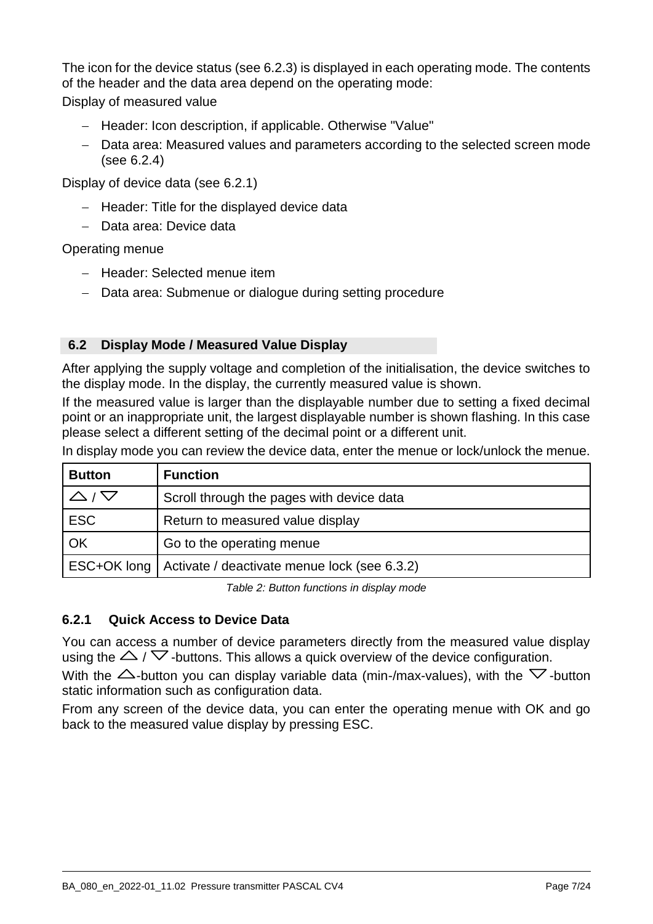The icon for the device status [\(see 6.2.3\)](#page-7-0) is displayed in each operating mode. The contents of the header and the data area depend on the operating mode:

Display of measured value

- Header: Icon description, if applicable. Otherwise "Value"
- Data area: Measured values and parameters according to the selected screen mode [\(see 6.2.4\)](#page-8-0)

Display of device data [\(see 6.2.1\)](#page-6-0)

- $-$  Header: Title for the displayed device data
- Data area: Device data

Operating menue

- Header: Selected menue item
- Data area: Submenue or dialogue during setting procedure

## **6.2 Display Mode / Measured Value Display**

After applying the supply voltage and completion of the initialisation, the device switches to the display mode. In the display, the currently measured value is shown.

If the measured value is larger than the displayable number due to setting a fixed decimal point or an inappropriate unit, the largest displayable number is shown flashing. In this case please select a different setting of the decimal point or a different unit.

In display mode you can review the device data, enter the menue or lock/unlock the menue.

| <b>Button</b> | <b>Function</b>                                            |
|---------------|------------------------------------------------------------|
|               | Scroll through the pages with device data                  |
| <b>ESC</b>    | Return to measured value display                           |
| OK            | Go to the operating menue                                  |
|               | ESC+OK long   Activate / deactivate menue lock (see 6.3.2) |

*Table 2: Button functions in display mode*

## <span id="page-6-0"></span>**6.2.1 Quick Access to Device Data**

You can access a number of device parameters directly from the measured value display using the  $\triangle$  /  $\triangledown$  -buttons. This allows a quick overview of the device configuration.

With the  $\triangle$ -button you can display variable data (min-/max-values), with the  $\nabla$ -button static information such as configuration data.

From any screen of the device data, you can enter the operating menue with OK and go back to the measured value display by pressing ESC.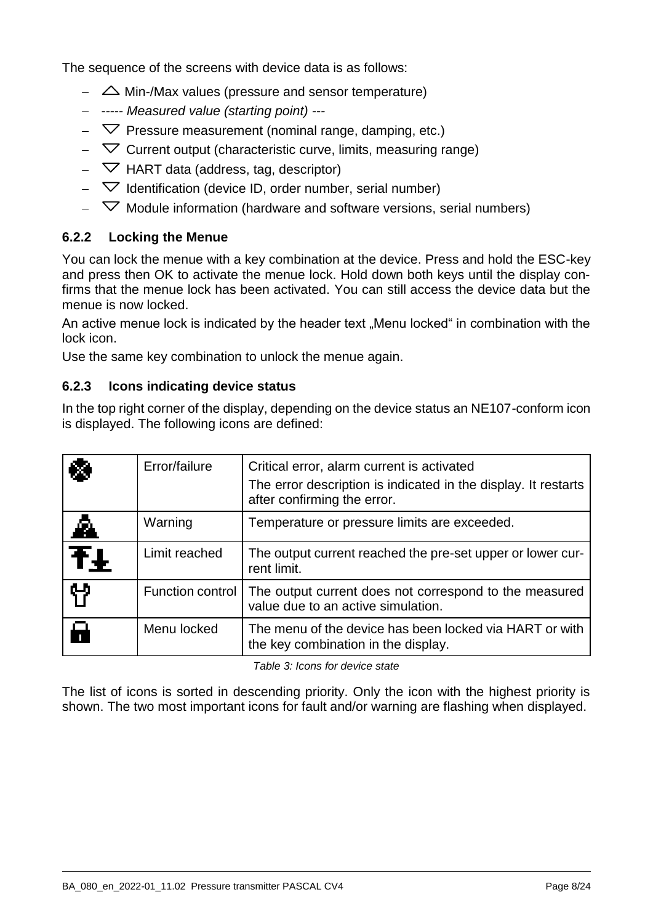The sequence of the screens with device data is as follows:

- $\sim$   $\Delta$  Min-/Max values (pressure and sensor temperature)
- *----- Measured value (starting point) ---*
- $\overline{\triangledown}$  Pressure measurement (nominal range, damping, etc.)
- $\overline{\phantom{C}}$  Current output (characteristic curve, limits, measuring range)
- $\triangledown$  HART data (address, tag, descriptor)
- $\overline{\phantom{a}}$  Identification (device ID, order number, serial number)
- $\overline{\phantom{a}}$  Module information (hardware and software versions, serial numbers)

## **6.2.2 Locking the Menue**

You can lock the menue with a key combination at the device. Press and hold the ESC-key and press then OK to activate the menue lock. Hold down both keys until the display confirms that the menue lock has been activated. You can still access the device data but the menue is now locked.

An active menue lock is indicated by the header text "Menu locked" in combination with the lock icon.

Use the same key combination to unlock the menue again.

#### <span id="page-7-0"></span>**6.2.3 Icons indicating device status**

In the top right corner of the display, depending on the device status an NE107-conform icon is displayed. The following icons are defined:

| Х              | Error/failure    | Critical error, alarm current is activated<br>The error description is indicated in the display. It restarts<br>after confirming the error. |
|----------------|------------------|---------------------------------------------------------------------------------------------------------------------------------------------|
| Â.             | Warning          | Temperature or pressure limits are exceeded.                                                                                                |
| ŦŦ             | Limit reached    | The output current reached the pre-set upper or lower cur-<br>rent limit.                                                                   |
| የነ             | Function control | The output current does not correspond to the measured<br>value due to an active simulation.                                                |
| $\blacksquare$ | Menu locked      | The menu of the device has been locked via HART or with<br>the key combination in the display.                                              |

*Table 3: Icons for device state*

The list of icons is sorted in descending priority. Only the icon with the highest priority is shown. The two most important icons for fault and/or warning are flashing when displayed.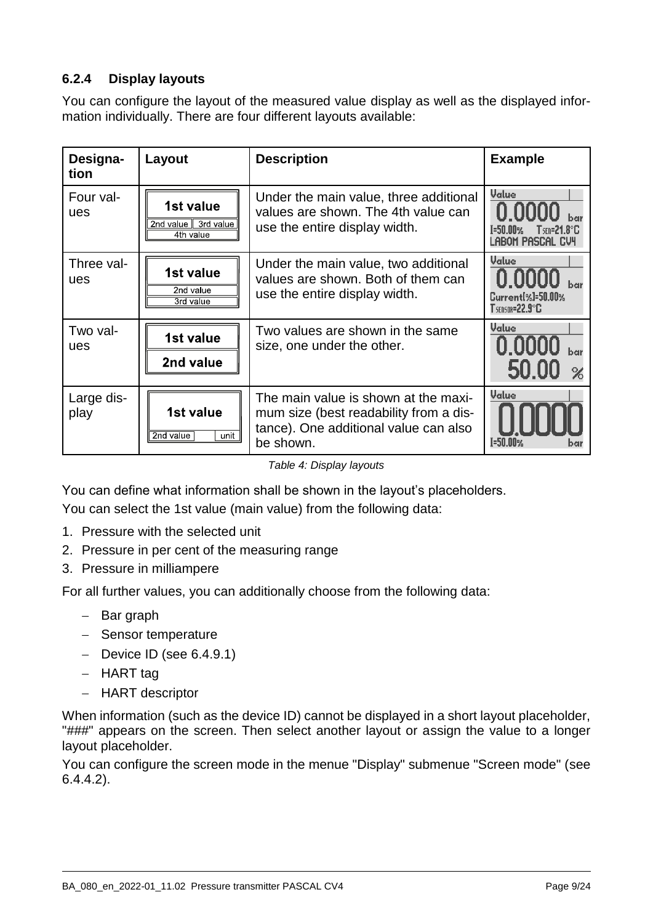## <span id="page-8-0"></span>**6.2.4 Display layouts**

You can configure the layout of the measured value display as well as the displayed information individually. There are four different layouts available:

| Designa-<br>tion   | Layout                                        | <b>Description</b>                                                                                                                   | <b>Example</b>                                                       |
|--------------------|-----------------------------------------------|--------------------------------------------------------------------------------------------------------------------------------------|----------------------------------------------------------------------|
| Four val-<br>ues   | 1st value<br>2nd value 3rd value<br>4th value | Under the main value, three additional<br>values are shown. The 4th value can<br>use the entire display width.                       | Value<br>T=50.00% I<br>$T$ sen=21.8° $\mathbb C$<br>Labom Pascal CV4 |
| Three val-<br>ues  | 1st value<br>2nd value<br>3rd value           | Under the main value, two additional<br>values are shown. Both of them can<br>use the entire display width.                          | Value<br>Current <sup>[%]=50.00%</sup><br><b>T</b> sensor=22.9°C     |
| Two val-<br>ues    | 1st value<br>2nd value                        | Two values are shown in the same<br>size, one under the other.                                                                       | Value<br>0.0000<br>50.00                                             |
| Large dis-<br>play | 1st value<br>2nd value<br>unit                | The main value is shown at the maxi-<br>mum size (best readability from a dis-<br>tance). One additional value can also<br>be shown. | Value<br>T=50.00%<br>bar                                             |

*Table 4: Display layouts*

You can define what information shall be shown in the layout's placeholders.

You can select the 1st value (main value) from the following data:

- 1. Pressure with the selected unit
- 2. Pressure in per cent of the measuring range
- 3. Pressure in milliampere

For all further values, you can additionally choose from the following data:

- $-$  Bar graph
- Sensor temperature
- $-$  Device ID [\(see 6.4.9.1\)](#page-21-0)
- $-$  HART tag
- HART descriptor

When information (such as the device ID) cannot be displayed in a short layout placeholder, "###" appears on the screen. Then select another layout or assign the value to a longer layout placeholder.

You can configure the screen mode in the menue "Display" submenue "Screen mode" [\(see](#page-17-0)  [6.4.4.2\)](#page-17-0).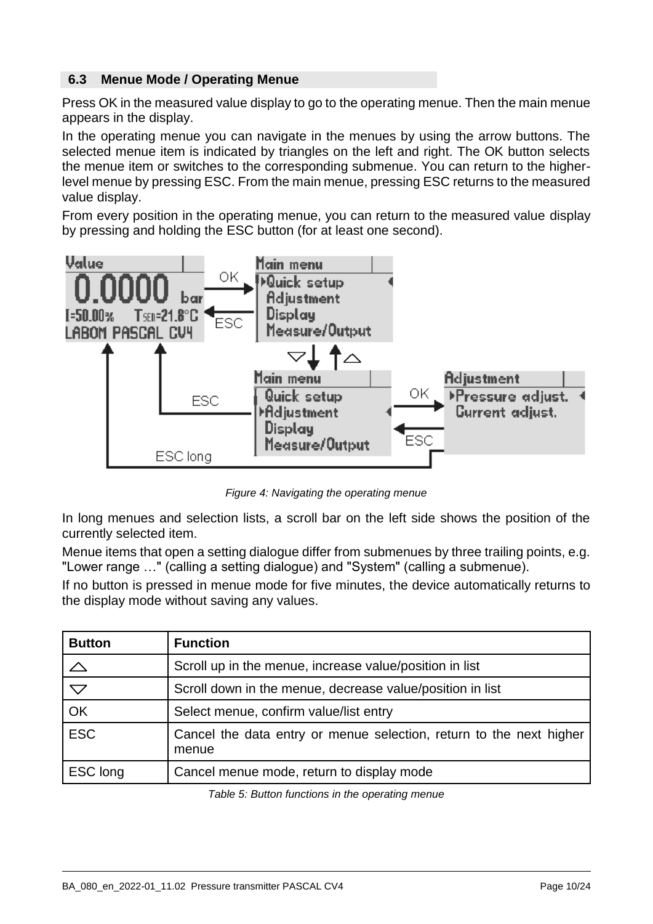### **6.3 Menue Mode / Operating Menue**

Press OK in the measured value display to go to the operating menue. Then the main menue appears in the display.

In the operating menue you can navigate in the menues by using the arrow buttons. The selected menue item is indicated by triangles on the left and right. The OK button selects the menue item or switches to the corresponding submenue. You can return to the higherlevel menue by pressing ESC. From the main menue, pressing ESC returns to the measured value display.

From every position in the operating menue, you can return to the measured value display by pressing and holding the ESC button (for at least one second).



*Figure 4: Navigating the operating menue*

In long menues and selection lists, a scroll bar on the left side shows the position of the currently selected item.

Menue items that open a setting dialogue differ from submenues by three trailing points, e.g. "Lower range …" (calling a setting dialogue) and "System" (calling a submenue).

If no button is pressed in menue mode for five minutes, the device automatically returns to the display mode without saving any values.

| <b>Button</b>       | <b>Function</b>                                                              |
|---------------------|------------------------------------------------------------------------------|
|                     | Scroll up in the menue, increase value/position in list                      |
| $\overline{\nabla}$ | Scroll down in the menue, decrease value/position in list                    |
| OK                  | Select menue, confirm value/list entry                                       |
| <b>ESC</b>          | Cancel the data entry or menue selection, return to the next higher<br>menue |
| ESC long            | Cancel menue mode, return to display mode                                    |

*Table 5: Button functions in the operating menue*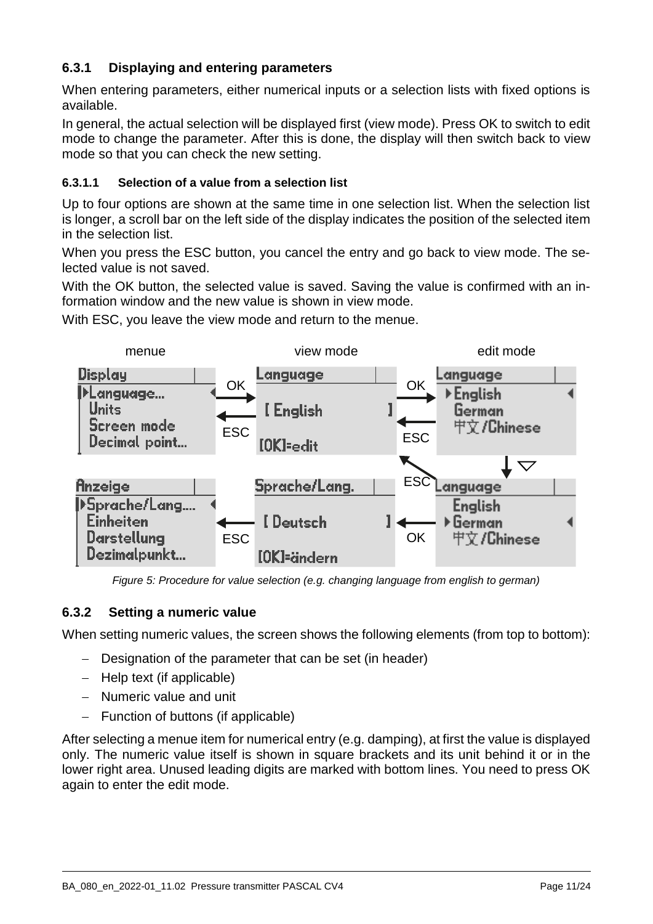## **6.3.1 Displaying and entering parameters**

When entering parameters, either numerical inputs or a selection lists with fixed options is available.

In general, the actual selection will be displayed first (view mode). Press OK to switch to edit mode to change the parameter. After this is done, the display will then switch back to view mode so that you can check the new setting.

#### **6.3.1.1 Selection of a value from a selection list**

Up to four options are shown at the same time in one selection list. When the selection list is longer, a scroll bar on the left side of the display indicates the position of the selected item in the selection list.

When you press the ESC button, you cancel the entry and go back to view mode. The selected value is not saved.

With the OK button, the selected value is saved. Saving the value is confirmed with an information window and the new value is shown in view mode.

With ESC, you leave the view mode and return to the menue.



*Figure 5: Procedure for value selection (e.g. changing language from english to german)*

## **6.3.2 Setting a numeric value**

When setting numeric values, the screen shows the following elements (from top to bottom):

- Designation of the parameter that can be set (in header)
- Help text (if applicable)
- Numeric value and unit
- $-$  Function of buttons (if applicable)

After selecting a menue item for numerical entry (e.g. damping), at first the value is displayed only. The numeric value itself is shown in square brackets and its unit behind it or in the lower right area. Unused leading digits are marked with bottom lines. You need to press OK again to enter the edit mode.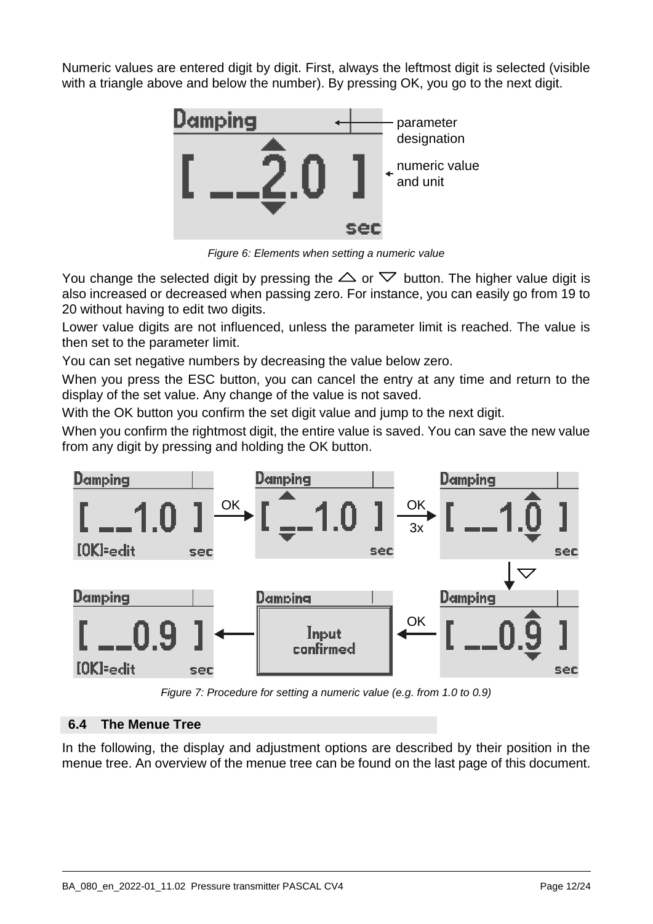Numeric values are entered digit by digit. First, always the leftmost digit is selected (visible with a triangle above and below the number). By pressing OK, you go to the next digit.



*Figure 6: Elements when setting a numeric value*

You change the selected digit by pressing the  $\triangle$  or  $\nabla$  button. The higher value digit is also increased or decreased when passing zero. For instance, you can easily go from 19 to 20 without having to edit two digits.

Lower value digits are not influenced, unless the parameter limit is reached. The value is then set to the parameter limit.

You can set negative numbers by decreasing the value below zero.

When you press the ESC button, you can cancel the entry at any time and return to the display of the set value. Any change of the value is not saved.

With the OK button you confirm the set digit value and jump to the next digit.

When you confirm the rightmost digit, the entire value is saved. You can save the new value from any digit by pressing and holding the OK button.



*Figure 7: Procedure for setting a numeric value (e.g. from 1.0 to 0.9)*

## **6.4 The Menue Tree**

In the following, the display and adjustment options are described by their position in the menue tree. An overview of the menue tree can be found on the last page of this document.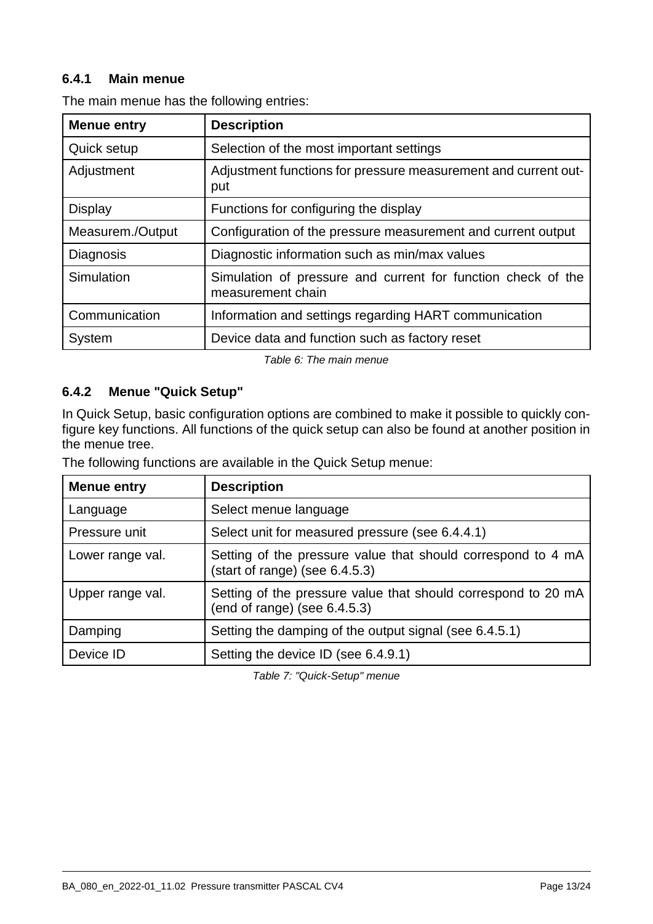## **6.4.1 Main menue**

| <b>Menue entry</b> | <b>Description</b>                                                                |
|--------------------|-----------------------------------------------------------------------------------|
| Quick setup        | Selection of the most important settings                                          |
| Adjustment         | Adjustment functions for pressure measurement and current out-<br>put             |
| <b>Display</b>     | Functions for configuring the display                                             |
| Measurem./Output   | Configuration of the pressure measurement and current output                      |
| Diagnosis          | Diagnostic information such as min/max values                                     |
| Simulation         | Simulation of pressure and current for function check of the<br>measurement chain |
| Communication      | Information and settings regarding HART communication                             |
| System             | Device data and function such as factory reset                                    |

The main menue has the following entries:

*Table 6: The main menue*

## **6.4.2 Menue "Quick Setup"**

In Quick Setup, basic configuration options are combined to make it possible to quickly configure key functions. All functions of the quick setup can also be found at another position in the menue tree.

The following functions are available in the Quick Setup menue:

| <b>Menue entry</b> | <b>Description</b>                                                                               |
|--------------------|--------------------------------------------------------------------------------------------------|
| Language           | Select menue language                                                                            |
| Pressure unit      | Select unit for measured pressure (see 6.4.4.1)                                                  |
| Lower range val.   | Setting of the pressure value that should correspond to 4 mA<br>(start of range) (see 6.4.5.3)   |
| Upper range val.   | Setting of the pressure value that should correspond to 20 mA<br>(end of range) (see $6.4.5.3$ ) |
| Damping            | Setting the damping of the output signal (see 6.4.5.1)                                           |
| Device ID          | Setting the device ID (see 6.4.9.1)                                                              |

*Table 7: "Quick-Setup" menue*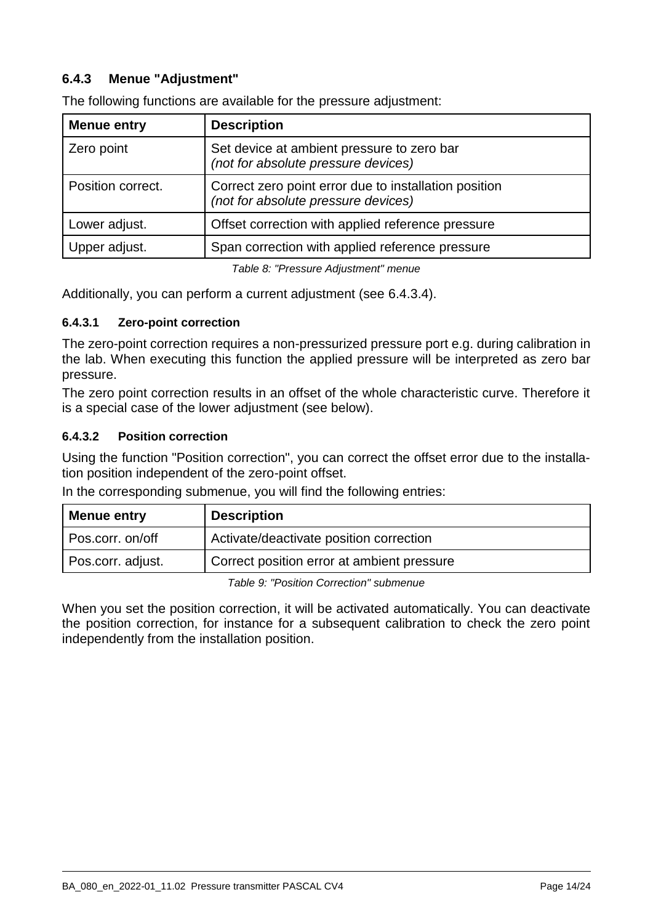## **6.4.3 Menue "Adjustment"**

| <b>Menue entry</b> | <b>Description</b>                                                                           |  |
|--------------------|----------------------------------------------------------------------------------------------|--|
| Zero point         | Set device at ambient pressure to zero bar<br>(not for absolute pressure devices)            |  |
| Position correct.  | Correct zero point error due to installation position<br>(not for absolute pressure devices) |  |
| Lower adjust.      | Offset correction with applied reference pressure                                            |  |
| Upper adjust.      | Span correction with applied reference pressure                                              |  |
|                    |                                                                                              |  |

The following functions are available for the pressure adjustment:

*Table 8: "Pressure Adjustment" menue*

Additionally, you can perform a current adjustment (see [6.4.3.4\)](#page-14-0).

#### **6.4.3.1 Zero-point correction**

The zero-point correction requires a non-pressurized pressure port e.g. during calibration in the lab. When executing this function the applied pressure will be interpreted as zero bar pressure.

The zero point correction results in an offset of the whole characteristic curve. Therefore it is a special case of the lower adjustment (see below).

#### **6.4.3.2 Position correction**

Using the function "Position correction", you can correct the offset error due to the installation position independent of the zero-point offset.

In the corresponding submenue, you will find the following entries:

| <b>Menue entry</b> | <b>Description</b>                         |
|--------------------|--------------------------------------------|
| Pos.corr. on/off   | Activate/deactivate position correction    |
| Pos.corr. adjust.  | Correct position error at ambient pressure |

*Table 9: "Position Correction" submenue*

When you set the position correction, it will be activated automatically. You can deactivate the position correction, for instance for a subsequent calibration to check the zero point independently from the installation position.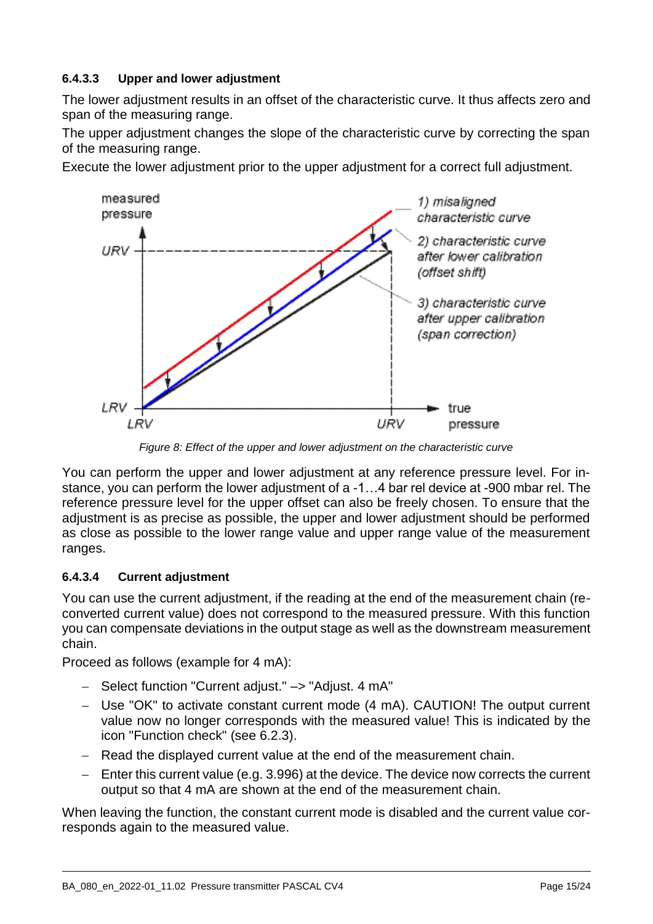## **6.4.3.3 Upper and lower adjustment**

The lower adjustment results in an offset of the characteristic curve. It thus affects zero and span of the measuring range.

The upper adjustment changes the slope of the characteristic curve by correcting the span of the measuring range.

Execute the lower adjustment prior to the upper adjustment for a correct full adjustment.



*Figure 8: Effect of the upper and lower adjustment on the characteristic curve*

You can perform the upper and lower adjustment at any reference pressure level. For instance, you can perform the lower adjustment of a -1…4 bar rel device at -900 mbar rel. The reference pressure level for the upper offset can also be freely chosen. To ensure that the adjustment is as precise as possible, the upper and lower adjustment should be performed as close as possible to the lower range value and upper range value of the measurement ranges.

#### <span id="page-14-0"></span>**6.4.3.4 Current adjustment**

You can use the current adjustment, if the reading at the end of the measurement chain (reconverted current value) does not correspond to the measured pressure. With this function you can compensate deviations in the output stage as well as the downstream measurement chain.

Proceed as follows (example for 4 mA):

- Select function "Current adjust." -> "Adjust. 4 mA"
- Use "OK" to activate constant current mode (4 mA). CAUTION! The output current value now no longer corresponds with the measured value! This is indicated by the icon "Function check" [\(see 6.2.3\)](#page-7-0).
- Read the displayed current value at the end of the measurement chain.
- $-$  Enter this current value (e.g. 3.996) at the device. The device now corrects the current output so that 4 mA are shown at the end of the measurement chain.

When leaving the function, the constant current mode is disabled and the current value corresponds again to the measured value.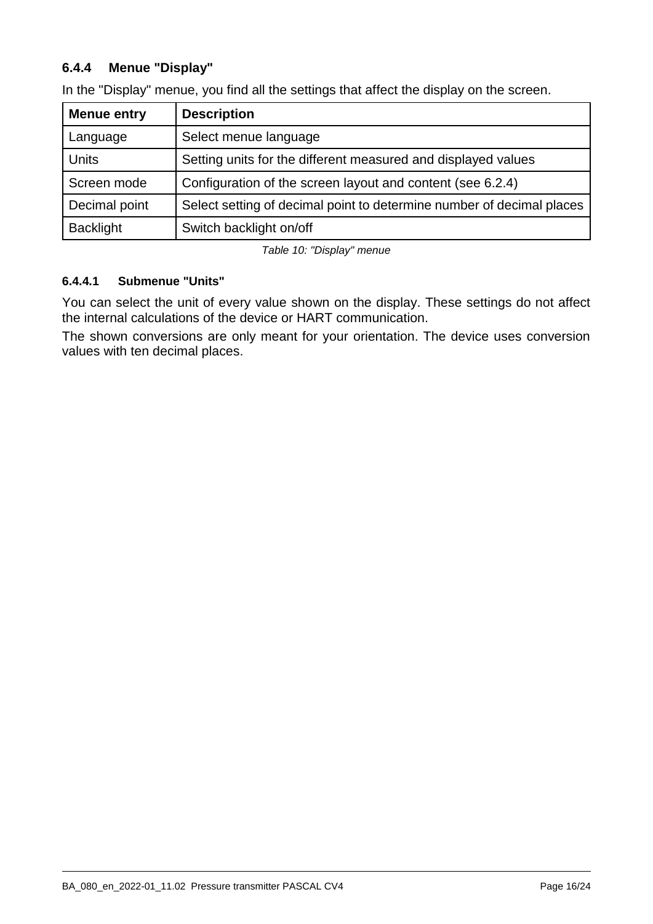## **6.4.4 Menue "Display"**

| <b>Menue entry</b> | <b>Description</b>                                                    |
|--------------------|-----------------------------------------------------------------------|
| Language           | Select menue language                                                 |
| <b>Units</b>       | Setting units for the different measured and displayed values         |
| Screen mode        | Configuration of the screen layout and content (see 6.2.4)            |
| Decimal point      | Select setting of decimal point to determine number of decimal places |
| <b>Backlight</b>   | Switch backlight on/off                                               |

In the "Display" menue, you find all the settings that affect the display on the screen.

*Table 10: "Display" menue*

#### <span id="page-15-0"></span>**6.4.4.1 Submenue "Units"**

You can select the unit of every value shown on the display. These settings do not affect the internal calculations of the device or HART communication.

The shown conversions are only meant for your orientation. The device uses conversion values with ten decimal places.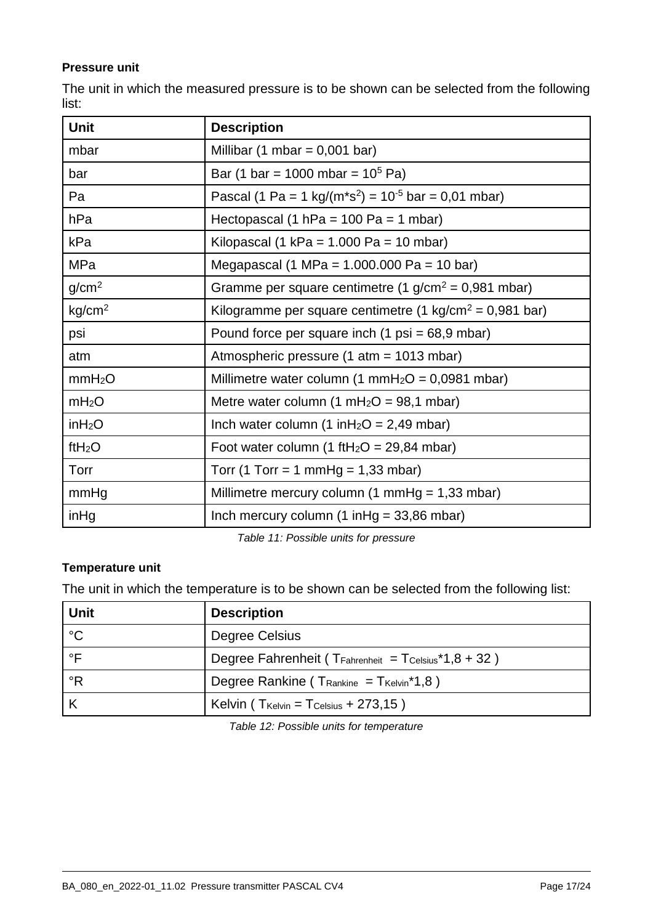#### **Pressure unit**

The unit in which the measured pressure is to be shown can be selected from the following list:

| <b>Unit</b>        | <b>Description</b>                                                              |
|--------------------|---------------------------------------------------------------------------------|
| mbar               | Millibar (1 mbar = $0,001$ bar)                                                 |
| bar                | Bar (1 bar = 1000 mbar = $10^5$ Pa)                                             |
| Pa                 | Pascal (1 Pa = 1 kg/( $m$ *s <sup>2</sup> ) = 10 <sup>-5</sup> bar = 0,01 mbar) |
| hPa                | Hectopascal (1 hPa = $100$ Pa = $1$ mbar)                                       |
| kPa                | Kilopascal (1 kPa = $1.000$ Pa = $10$ mbar)                                     |
| MPa                | Megapascal (1 MPa = $1.000.000$ Pa = 10 bar)                                    |
| g/cm <sup>2</sup>  | Gramme per square centimetre (1 $g/cm^2$ = 0,981 mbar)                          |
| kg/cm <sup>2</sup> | Kilogramme per square centimetre (1 kg/cm <sup>2</sup> = 0,981 bar)             |
| psi                | Pound force per square inch $(1 \text{ psi} = 68.9 \text{ mbar})$               |
| atm                | Atmospheric pressure (1 atm = 1013 mbar)                                        |
| mmH <sub>2</sub> O | Millimetre water column (1 mmH <sub>2</sub> O = 0,0981 mbar)                    |
| mH <sub>2</sub> O  | Metre water column $(1 \text{ mH}_2O = 98, 1 \text{ mbar})$                     |
| inH <sub>2</sub> O | Inch water column (1 in $H_2O = 2,49$ mbar)                                     |
| ftH <sub>2</sub> O | Foot water column (1 ftH <sub>2</sub> O = 29,84 mbar)                           |
| Torr               | Torr (1 Torr = 1 mmHg = $1,33$ mbar)                                            |
| mmHg               | Millimetre mercury column $(1 \text{ mmHg} = 1,33 \text{ mbar})$                |
| inHg               | Inch mercury column $(1 \in ] 49, 86 \in ] 100$                                 |

*Table 11: Possible units for pressure*

#### **Temperature unit**

The unit in which the temperature is to be shown can be selected from the following list:

| Unit        | <b>Description</b>                                            |
|-------------|---------------------------------------------------------------|
| $^{\circ}C$ | Degree Celsius                                                |
| $\circ$ F   | Degree Fahrenheit ( $T_{Fahrenheit} = T_{Celsius}*1,8 + 32$ ) |
| °R          | Degree Rankine ( $T_{Rankine} = T_{Kelvin}*1,8$ )             |
|             | Kelvin ( $T_{\text{Kelvin}} = T_{\text{Celsius}} + 273,15$ )  |

*Table 12: Possible units for temperature*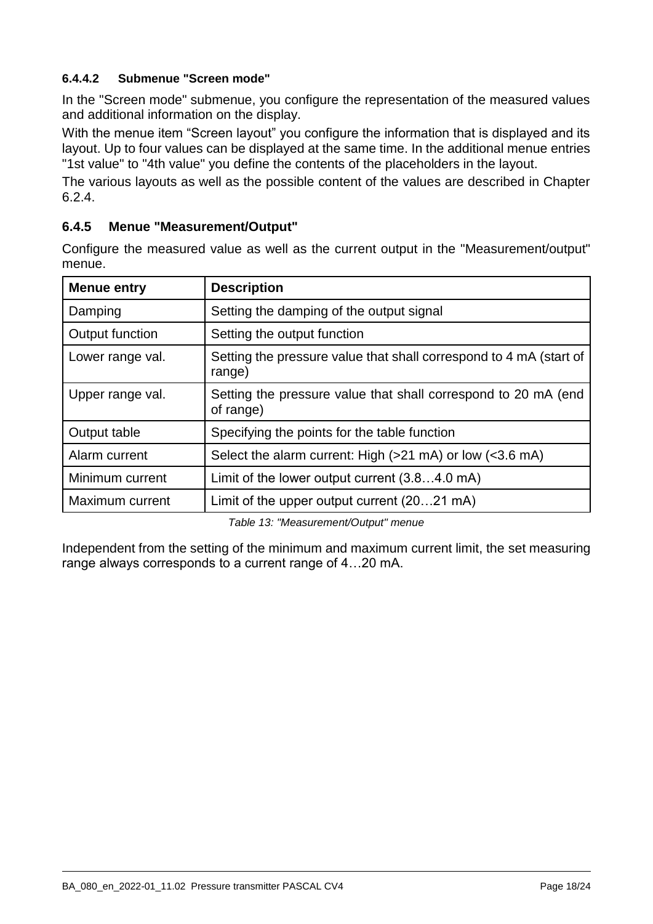## <span id="page-17-0"></span>**6.4.4.2 Submenue "Screen mode"**

In the "Screen mode" submenue, you configure the representation of the measured values and additional information on the display.

With the menue item "Screen layout" you configure the information that is displayed and its layout. Up to four values can be displayed at the same time. In the additional menue entries "1st value" to "4th value" you define the contents of the placeholders in the layout.

The various layouts as well as the possible content of the values are described in Chapter [6.2.4.](#page-8-0)

#### **6.4.5 Menue "Measurement/Output"**

Configure the measured value as well as the current output in the "Measurement/output" menue.

| <b>Menue entry</b> | <b>Description</b>                                                           |
|--------------------|------------------------------------------------------------------------------|
| Damping            | Setting the damping of the output signal                                     |
| Output function    | Setting the output function                                                  |
| Lower range val.   | Setting the pressure value that shall correspond to 4 mA (start of<br>range) |
| Upper range val.   | Setting the pressure value that shall correspond to 20 mA (end<br>of range)  |
| Output table       | Specifying the points for the table function                                 |
| Alarm current      | Select the alarm current: High (>21 mA) or low (<3.6 mA)                     |
| Minimum current    | Limit of the lower output current $(3.84.0 \text{ mA})$                      |
| Maximum current    | Limit of the upper output current (2021 mA)                                  |

*Table 13: "Measurement/Output" menue*

Independent from the setting of the minimum and maximum current limit, the set measuring range always corresponds to a current range of 4…20 mA.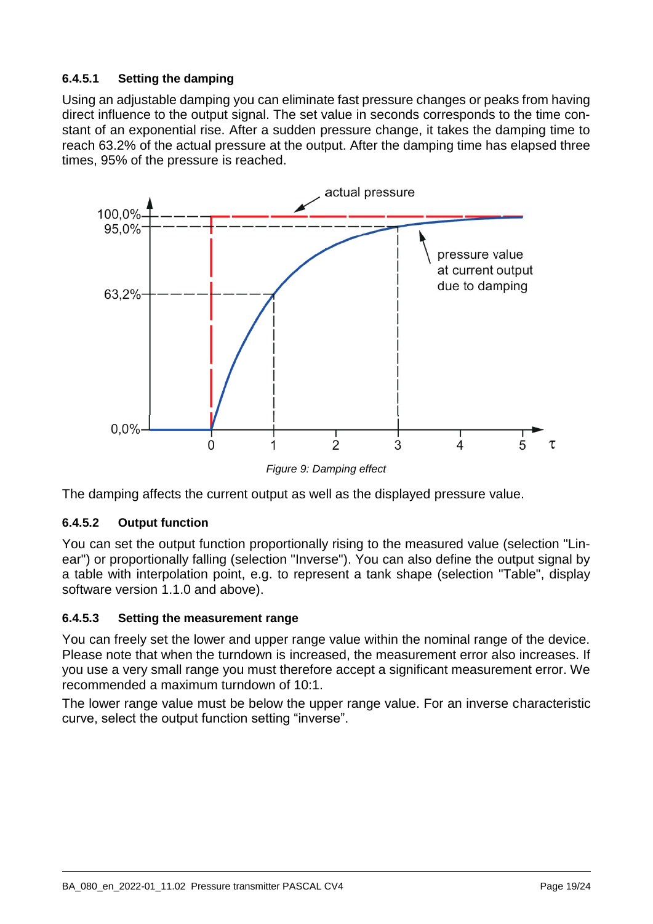## <span id="page-18-1"></span>**6.4.5.1 Setting the damping**

Using an adjustable damping you can eliminate fast pressure changes or peaks from having direct influence to the output signal. The set value in seconds corresponds to the time constant of an exponential rise. After a sudden pressure change, it takes the damping time to reach 63.2% of the actual pressure at the output. After the damping time has elapsed three times, 95% of the pressure is reached.



*Figure 9: Damping effect*

The damping affects the current output as well as the displayed pressure value.

#### **6.4.5.2 Output function**

You can set the output function proportionally rising to the measured value (selection "Linear") or proportionally falling (selection "Inverse"). You can also define the output signal by a table with interpolation point, e.g. to represent a tank shape (selection "Table", display software version 1.1.0 and above).

#### <span id="page-18-0"></span>**6.4.5.3 Setting the measurement range**

You can freely set the lower and upper range value within the nominal range of the device. Please note that when the turndown is increased, the measurement error also increases. If you use a very small range you must therefore accept a significant measurement error. We recommended a maximum turndown of 10:1.

The lower range value must be below the upper range value. For an inverse characteristic curve, select the output function setting "inverse".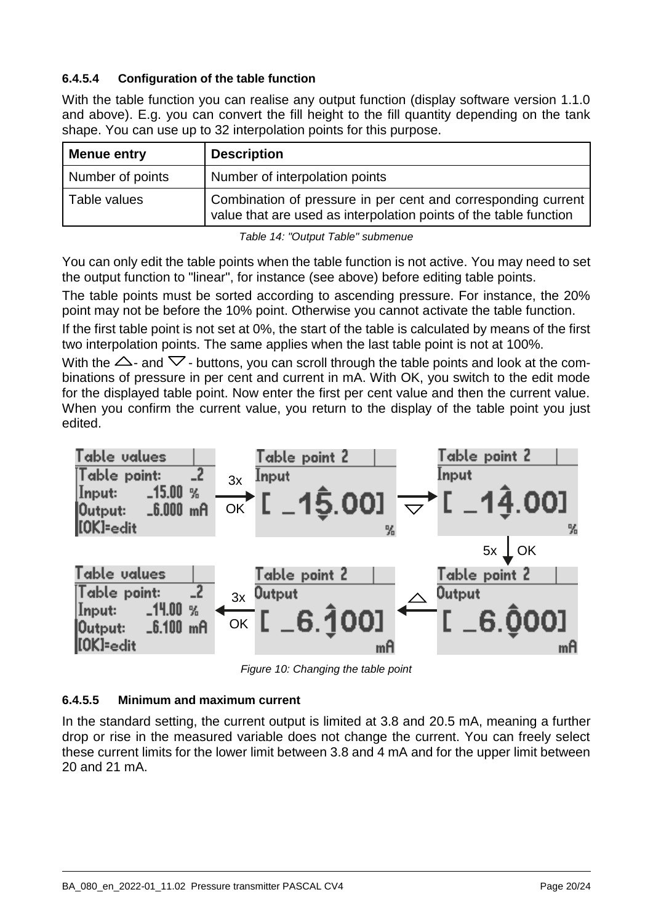## **6.4.5.4 Configuration of the table function**

With the table function you can realise any output function (display software version 1.1.0 and above). E.g. you can convert the fill height to the fill quantity depending on the tank shape. You can use up to 32 interpolation points for this purpose.

| <b>Menue entry</b> | <b>Description</b>                                                                                                                 |
|--------------------|------------------------------------------------------------------------------------------------------------------------------------|
| Number of points   | Number of interpolation points                                                                                                     |
| Table values       | Combination of pressure in per cent and corresponding current<br>value that are used as interpolation points of the table function |

*Table 14: "Output Table" submenue*

You can only edit the table points when the table function is not active. You may need to set the output function to "linear", for instance (see above) before editing table points.

The table points must be sorted according to ascending pressure. For instance, the 20% point may not be before the 10% point. Otherwise you cannot activate the table function.

If the first table point is not set at 0%, the start of the table is calculated by means of the first two interpolation points. The same applies when the last table point is not at 100%.

With the  $\triangle$ - and  $\nabla$ - buttons, you can scroll through the table points and look at the combinations of pressure in per cent and current in mA. With OK, you switch to the edit mode for the displayed table point. Now enter the first per cent value and then the current value. When you confirm the current value, you return to the display of the table point you just edited.



*Figure 10: Changing the table point*

## **6.4.5.5 Minimum and maximum current**

In the standard setting, the current output is limited at 3.8 and 20.5 mA, meaning a further drop or rise in the measured variable does not change the current. You can freely select these current limits for the lower limit between 3.8 and 4 mA and for the upper limit between 20 and 21 mA.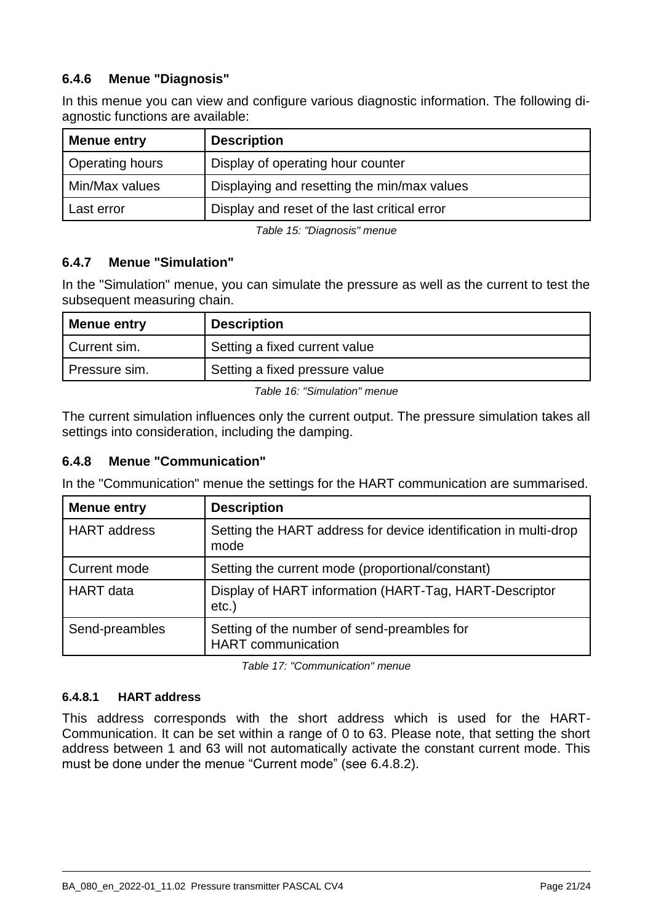## **6.4.6 Menue "Diagnosis"**

In this menue you can view and configure various diagnostic information. The following diagnostic functions are available:

| <b>Menue entry</b> | <b>Description</b>                           |
|--------------------|----------------------------------------------|
| Operating hours    | Display of operating hour counter            |
| Min/Max values     | Displaying and resetting the min/max values  |
| Last error         | Display and reset of the last critical error |

*Table 15: "Diagnosis" menue*

## **6.4.7 Menue "Simulation"**

In the "Simulation" menue, you can simulate the pressure as well as the current to test the subsequent measuring chain.

| <b>Menue entry</b> | <b>Description</b>             |
|--------------------|--------------------------------|
| Current sim.       | Setting a fixed current value  |
| I Pressure sim.    | Setting a fixed pressure value |

*Table 16: "Simulation" menue*

The current simulation influences only the current output. The pressure simulation takes all settings into consideration, including the damping.

## **6.4.8 Menue "Communication"**

In the "Communication" menue the settings for the HART communication are summarised.

| <b>Menue entry</b>  | <b>Description</b>                                                       |
|---------------------|--------------------------------------------------------------------------|
| <b>HART</b> address | Setting the HART address for device identification in multi-drop<br>mode |
| <b>Current mode</b> | Setting the current mode (proportional/constant)                         |
| <b>HART</b> data    | Display of HART information (HART-Tag, HART-Descriptor<br>$etc.$ )       |
| Send-preambles      | Setting of the number of send-preambles for<br><b>HART</b> communication |

*Table 17: "Communication" menue*

#### **6.4.8.1 HART address**

This address corresponds with the short address which is used for the HART-Communication. It can be set within a range of 0 to 63. Please note, that setting the short address between 1 and 63 will not automatically activate the constant current mode. This must be done under the menue "Current mode" (see [6.4.8.2\)](#page-21-1).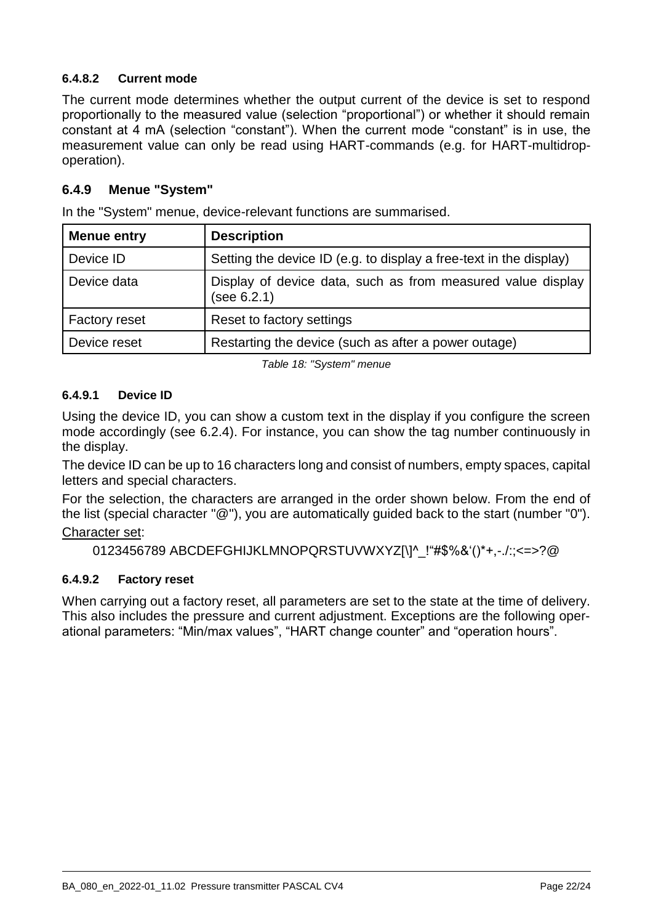## <span id="page-21-1"></span>**6.4.8.2 Current mode**

The current mode determines whether the output current of the device is set to respond proportionally to the measured value (selection "proportional") or whether it should remain constant at 4 mA (selection "constant"). When the current mode "constant" is in use, the measurement value can only be read using HART-commands (e.g. for HART-multidropoperation).

## **6.4.9 Menue "System"**

In the "System" menue, device-relevant functions are summarised.

| <b>Menue entry</b>   | <b>Description</b>                                                         |
|----------------------|----------------------------------------------------------------------------|
| Device ID            | Setting the device ID (e.g. to display a free-text in the display)         |
| Device data          | Display of device data, such as from measured value display<br>(see 6.2.1) |
| <b>Factory reset</b> | Reset to factory settings                                                  |
| Device reset         | Restarting the device (such as after a power outage)                       |

*Table 18: "System" menue*

#### <span id="page-21-0"></span>**6.4.9.1 Device ID**

Using the device ID, you can show a custom text in the display if you configure the screen mode accordingly (see [6.2.4\)](#page-8-0). For instance, you can show the tag number continuously in the display.

The device ID can be up to 16 characters long and consist of numbers, empty spaces, capital letters and special characters.

For the selection, the characters are arranged in the order shown below. From the end of the list (special character "@"), you are automatically guided back to the start (number "0").

#### Character set:

0123456789 ABCDEFGHIJKLMNOPQRSTUVWXYZ[\]^\_!"#\$%&'()\*+,-./:;<=>?@

## **6.4.9.2 Factory reset**

When carrying out a factory reset, all parameters are set to the state at the time of delivery. This also includes the pressure and current adjustment. Exceptions are the following operational parameters: "Min/max values", "HART change counter" and "operation hours".